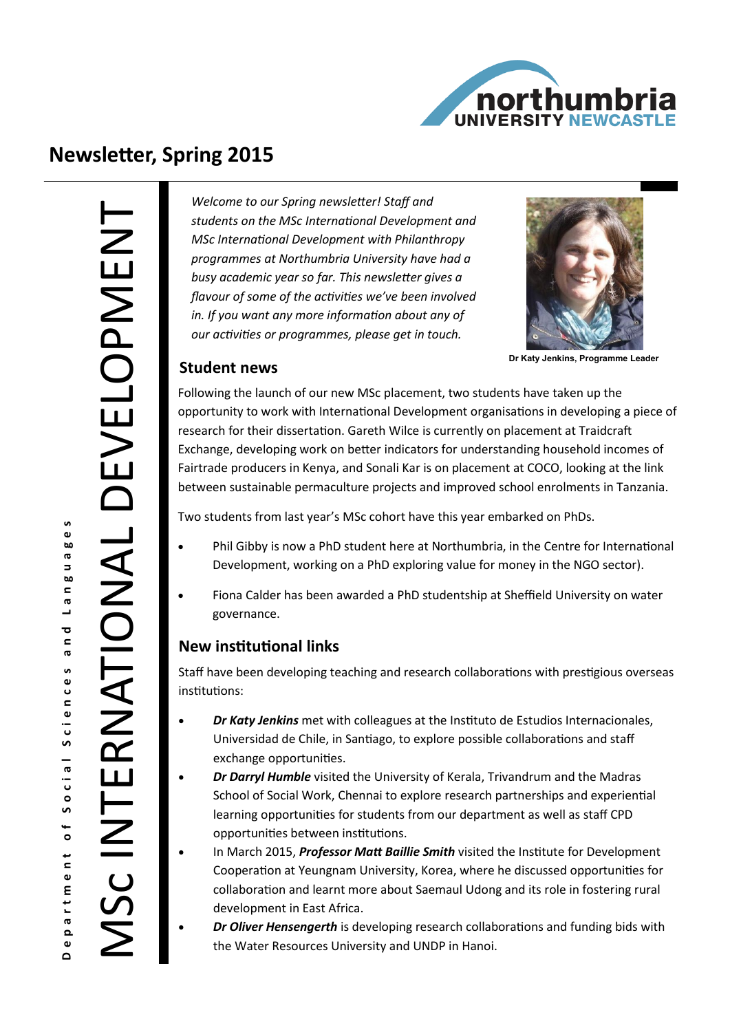

# **Newsletter, Spring 2015**

**i** 

 $\sigma$ 

 $\mathbf{\overline{c}}$  $\mathbf{r}$  $\sigma$ 

Social Sciences

 $\overline{\phantom{a}}$ 

rtment

ര

 $\bullet$  $\Omega$ 

*Welcome to our Spring newsletter! Staff and students on the MSc International Development and MSc International Development with Philanthropy programmes at Northumbria University have had a busy academic year so far. This newsletter gives a flavour of some of the activities we've been involved in. If you want any more information about any of our activities or programmes, please get in touch.* 



**Dr Katy Jenkins, Programme Leader** 

#### **Student news**

Following the launch of our new MSc placement, two students have taken up the opportunity to work with International Development organisations in developing a piece of research for their dissertation. Gareth Wilce is currently on placement at Traidcraft Exchange, developing work on better indicators for understanding household incomes of Fairtrade producers in Kenya, and Sonali Kar is on placement at COCO, looking at the link between sustainable permaculture projects and improved school enrolments in Tanzania.

Two students from last year's MSc cohort have this year embarked on PhDs.

- Phil Gibby is now a PhD student here at Northumbria, in the Centre for International Development, working on a PhD exploring value for money in the NGO sector).
- Fiona Calder has been awarded a PhD studentship at Sheffield University on water governance.

#### **New institutional links**

Staff have been developing teaching and research collaborations with prestigious overseas institutions:

- *Dr Katy Jenkins* met with colleagues at the Instituto de Estudios Internacionales, Universidad de Chile, in Santiago, to explore possible collaborations and staff exchange opportunities.
- *Dr Darryl Humble* visited the University of Kerala, Trivandrum and the Madras School of Social Work, Chennai to explore research partnerships and experiential learning opportunities for students from our department as well as staff CPD opportunities between institutions.
- In March 2015, *Professor Matt Baillie Smith* visited the Institute for Development Cooperation at Yeungnam University, Korea, where he discussed opportunities for collaboration and learnt more about Saemaul Udong and its role in fostering rural development in East Africa.
	- *Dr Oliver Hensengerth* is developing research collaborations and funding bids with the Water Resources University and UNDP in Hanoi.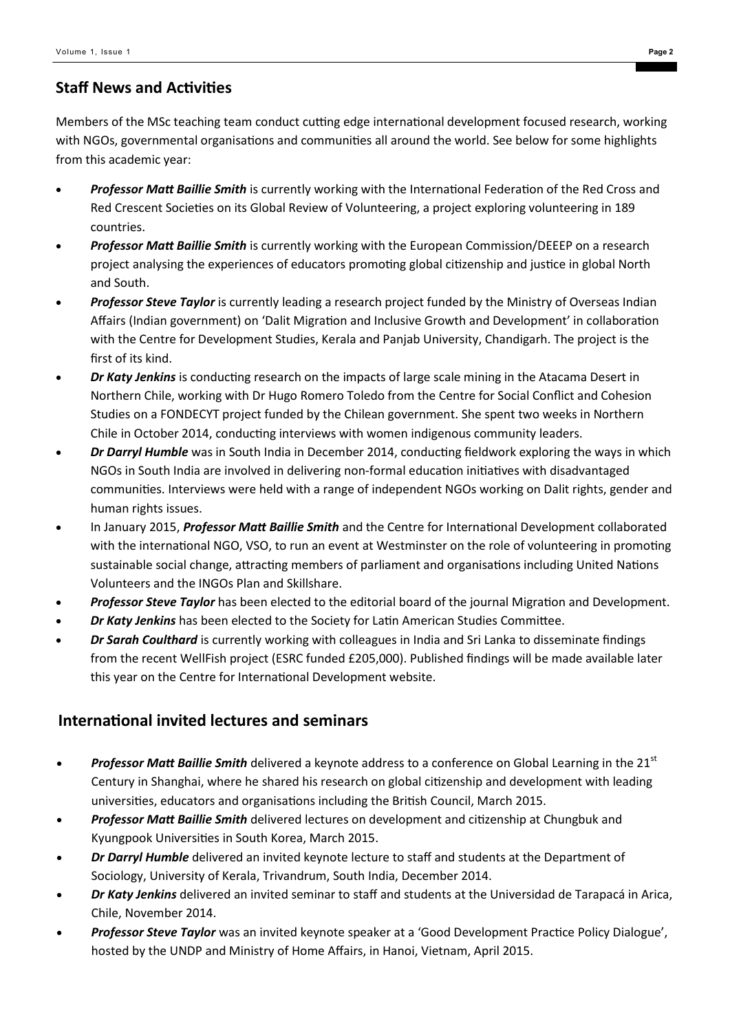#### **Staff News and Activities**

Members of the MSc teaching team conduct cutting edge international development focused research, working with NGOs, governmental organisations and communities all around the world. See below for some highlights from this academic year:

- *Professor Matt Baillie Smith* is currently working with the International Federation of the Red Cross and Red Crescent Societies on its Global Review of Volunteering, a project exploring volunteering in 189 countries.
- *Professor Matt Baillie Smith* is currently working with the European Commission/DEEEP on a research project analysing the experiences of educators promoting global citizenship and justice in global North and South.
- *Professor Steve Taylor* is currently leading a research project funded by the Ministry of Overseas Indian Affairs (Indian government) on 'Dalit Migration and Inclusive Growth and Development' in collaboration with the Centre for Development Studies, Kerala and Panjab University, Chandigarh. The project is the first of its kind.
- *Dr Katy Jenkins* is conducting research on the impacts of large scale mining in the Atacama Desert in Northern Chile, working with Dr Hugo Romero Toledo from the Centre for Social Conflict and Cohesion Studies on a FONDECYT project funded by the Chilean government. She spent two weeks in Northern Chile in October 2014, conducting interviews with women indigenous community leaders.
- *Dr Darryl Humble* was in South India in December 2014, conducting fieldwork exploring the ways in which NGOs in South India are involved in delivering non-formal education initiatives with disadvantaged communities. Interviews were held with a range of independent NGOs working on Dalit rights, gender and human rights issues.
- In January 2015, *Professor Matt Baillie Smith* and the Centre for International Development collaborated with the international NGO, VSO, to run an event at Westminster on the role of volunteering in promoting sustainable social change, attracting members of parliament and organisations including United Nations Volunteers and the INGOs Plan and Skillshare.
- *Professor Steve Taylor* has been elected to the editorial board of the journal Migration and Development.
- *Dr Katy Jenkins* has been elected to the Society for Latin American Studies Committee.
- *Dr Sarah Coulthard* is currently working with colleagues in India and Sri Lanka to disseminate findings from the recent WellFish project (ESRC funded £205,000). Published findings will be made available later this year on the Centre for International Development website.

#### **International invited lectures and seminars**

- *Professor Matt Baillie Smith* delivered a keynote address to a conference on Global Learning in the 21<sup>st</sup> Century in Shanghai, where he shared his research on global citizenship and development with leading universities, educators and organisations including the British Council, March 2015.
- *Professor Matt Baillie Smith* delivered lectures on development and citizenship at Chungbuk and Kyungpook Universities in South Korea, March 2015.
- *Dr Darryl Humble* delivered an invited keynote lecture to staff and students at the Department of Sociology, University of Kerala, Trivandrum, South India, December 2014.
- *Dr Katy Jenkins* delivered an invited seminar to staff and students at the Universidad de Tarapacá in Arica, Chile, November 2014.
- *Professor Steve Taylor* was an invited keynote speaker at a 'Good Development Practice Policy Dialogue', hosted by the UNDP and Ministry of Home Affairs, in Hanoi, Vietnam, April 2015.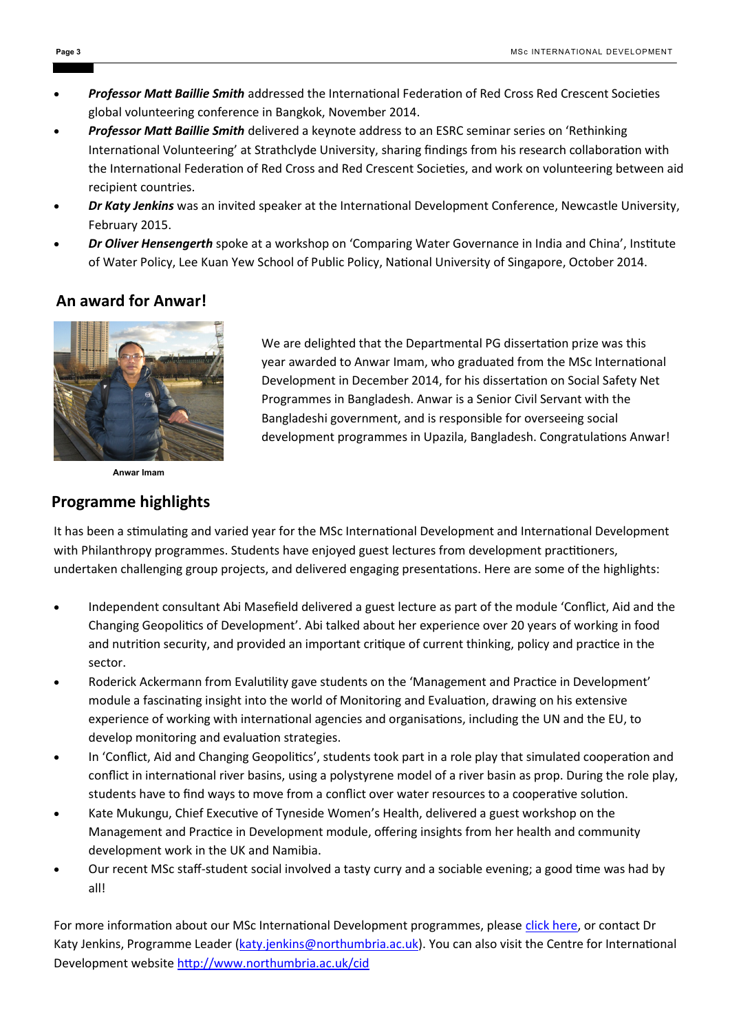- *Professor Matt Baillie Smith* addressed the International Federation of Red Cross Red Crescent Societies global volunteering conference in Bangkok, November 2014.
- *Professor Matt Baillie Smith* delivered a keynote address to an ESRC seminar series on 'Rethinking International Volunteering' at Strathclyde University, sharing findings from his research collaboration with the International Federation of Red Cross and Red Crescent Societies, and work on volunteering between aid recipient countries.
- *Dr Katy Jenkins* was an invited speaker at the International Development Conference, Newcastle University, February 2015.
- *Dr Oliver Hensengerth* spoke at a workshop on 'Comparing Water Governance in India and China', Institute of Water Policy, Lee Kuan Yew School of Public Policy, National University of Singapore, October 2014.

#### **An award for Anwar!**



**Anwar Imam**

#### **Programme highlights**

We are delighted that the Departmental PG dissertation prize was this year awarded to Anwar Imam, who graduated from the MSc International Development in December 2014, for his dissertation on Social Safety Net Programmes in Bangladesh. Anwar is a Senior Civil Servant with the Bangladeshi government, and is responsible for overseeing social development programmes in Upazila, Bangladesh. Congratulations Anwar!

It has been a stimulating and varied year for the MSc International Development and International Development with Philanthropy programmes. Students have enjoyed guest lectures from development practitioners, undertaken challenging group projects, and delivered engaging presentations. Here are some of the highlights:

- Independent consultant Abi Masefield delivered a guest lecture as part of the module 'Conflict, Aid and the Changing Geopolitics of Development'. Abi talked about her experience over 20 years of working in food and nutrition security, and provided an important critique of current thinking, policy and practice in the sector.
- Roderick Ackermann from Evalutility gave students on the 'Management and Practice in Development' module a fascinating insight into the world of Monitoring and Evaluation, drawing on his extensive experience of working with international agencies and organisations, including the UN and the EU, to develop monitoring and evaluation strategies.
- In 'Conflict, Aid and Changing Geopolitics', students took part in a role play that simulated cooperation and conflict in international river basins, using a polystyrene model of a river basin as prop. During the role play, students have to find ways to move from a conflict over water resources to a cooperative solution.
- Kate Mukungu, Chief Executive of Tyneside Women's Health, delivered a guest workshop on the Management and Practice in Development module, offering insights from her health and community development work in the UK and Namibia.
- Our recent MSc staff-student social involved a tasty curry and a sociable evening; a good time was had by all!

For more information about our MSc International Development programmes, please [click here,](https://www.northumbria.ac.uk/study-at-northumbria/courses/international-development-ft-dtfint6/) or contact Dr Katy Jenkins, Programme Leader [\(katy.jenkins@northumbria.ac.uk\).](mailto:katy.jenkins@northumbria.ac.uk?subject=MSc%20ID%20Spring%202015%20Newsletter%20follow%20up) You can also visit the Centre for International Development website <http://www.northumbria.ac.uk/cid>